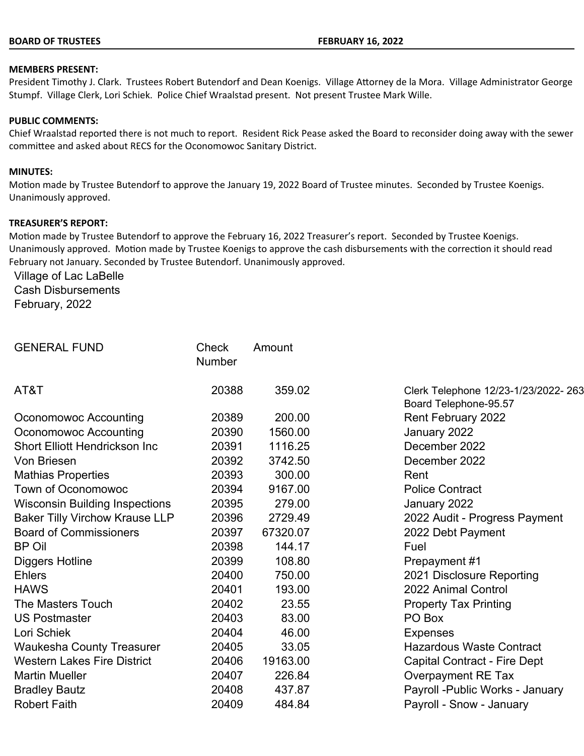#### **BOARD OF TRUSTEES FEBRUARY 16, 2022**

#### **MEMBERS PRESENT:**

President Timothy J. Clark. Trustees Robert Butendorf and Dean Koenigs. Village Attorney de la Mora. Village Administrator George Stumpf. Village Clerk, Lori Schiek. Police Chief Wraalstad present. Not present Trustee Mark Wille.

#### **PUBLIC COMMENTS:**

Chief Wraalstad reported there is not much to report. Resident Rick Pease asked the Board to reconsider doing away with the sewer committee and asked about RECS for the Oconomowoc Sanitary District.

#### **MINUTES:**

Motion made by Trustee Butendorf to approve the January 19, 2022 Board of Trustee minutes. Seconded by Trustee Koenigs. Unanimously approved.

#### **TREASURER'S REPORT:**

Motion made by Trustee Butendorf to approve the February 16, 2022 Treasurer's report. Seconded by Trustee Koenigs. Unanimously approved. Motion made by Trustee Koenigs to approve the cash disbursements with the correction it should read February not January. Seconded by Trustee Butendorf. Unanimously approved.

Village of Lac LaBelle Cash Disbursements February, 2022

| <b>GENERAL FUND</b>                   | Check<br>Number | Amount   |                                                               |
|---------------------------------------|-----------------|----------|---------------------------------------------------------------|
| AT&T                                  | 20388           | 359.02   | Clerk Telephone 12/23-1/23/2022- 263<br>Board Telephone-95.57 |
| Oconomowoc Accounting                 | 20389           | 200.00   | <b>Rent February 2022</b>                                     |
| Oconomowoc Accounting                 | 20390           | 1560.00  | January 2022                                                  |
| Short Elliott Hendrickson Inc         | 20391           | 1116.25  | December 2022                                                 |
| Von Briesen                           | 20392           | 3742.50  | December 2022                                                 |
| <b>Mathias Properties</b>             | 20393           | 300.00   | Rent                                                          |
| Town of Oconomowoc                    | 20394           | 9167.00  | <b>Police Contract</b>                                        |
| <b>Wisconsin Building Inspections</b> | 20395           | 279.00   | January 2022                                                  |
| <b>Baker Tilly Virchow Krause LLP</b> | 20396           | 2729.49  | 2022 Audit - Progress Payment                                 |
| <b>Board of Commissioners</b>         | 20397           | 67320.07 | 2022 Debt Payment                                             |
| BP Oil                                | 20398           | 144.17   | Fuel                                                          |
| Diggers Hotline                       | 20399           | 108.80   | Prepayment #1                                                 |
| Ehlers                                | 20400           | 750.00   | 2021 Disclosure Reporting                                     |
| <b>HAWS</b>                           | 20401           | 193.00   | 2022 Animal Control                                           |
| The Masters Touch                     | 20402           | 23.55    | <b>Property Tax Printing</b>                                  |
| <b>US Postmaster</b>                  | 20403           | 83.00    | PO Box                                                        |
| Lori Schiek                           | 20404           | 46.00    | <b>Expenses</b>                                               |
| Waukesha County Treasurer             | 20405           | 33.05    | <b>Hazardous Waste Contract</b>                               |
| <b>Western Lakes Fire District</b>    | 20406           | 19163.00 | <b>Capital Contract - Fire Dept</b>                           |
| <b>Martin Mueller</b>                 | 20407           | 226.84   | <b>Overpayment RE Tax</b>                                     |
| Bradley Bautz                         | 20408           | 437.87   | Payroll - Public Works - January                              |
| <b>Robert Faith</b>                   | 20409           | 484.84   | Payroll - Snow - January                                      |
|                                       |                 |          |                                                               |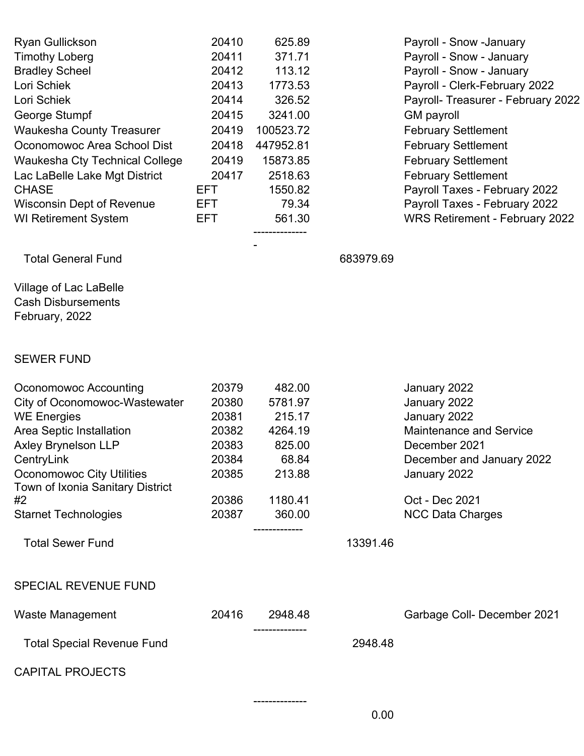| <b>Ryan Gullickson</b><br><b>Timothy Loberg</b><br><b>Bradley Scheel</b><br>Lori Schiek<br>Lori Schiek<br>George Stumpf<br><b>Waukesha County Treasurer</b><br>Oconomowoc Area School Dist<br><b>Waukesha Cty Technical College</b><br>Lac LaBelle Lake Mgt District<br><b>CHASE</b><br><b>Wisconsin Dept of Revenue</b><br><b>WI Retirement System</b> | 20410<br>20411<br>20412<br>20413<br>20414<br>20415<br>20419<br>20418<br>20419<br>20417<br>EFT<br>EFT.<br>EFT. | 625.89<br>371.71<br>113.12<br>1773.53<br>326.52<br>3241.00<br>100523.72<br>447952.81<br>15873.85<br>2518.63<br>1550.82<br>79.34<br>561.30 |           | Payroll - Snow -January<br>Payroll - Snow - January<br>Payroll - Snow - January<br>Payroll - Clerk-February 2022<br>Payroll- Treasurer - February 2022<br><b>GM</b> payroll<br><b>February Settlement</b><br><b>February Settlement</b><br><b>February Settlement</b><br><b>February Settlement</b><br>Payroll Taxes - February 2022<br>Payroll Taxes - February 2022<br><b>WRS Retirement - February 2022</b> |
|---------------------------------------------------------------------------------------------------------------------------------------------------------------------------------------------------------------------------------------------------------------------------------------------------------------------------------------------------------|---------------------------------------------------------------------------------------------------------------|-------------------------------------------------------------------------------------------------------------------------------------------|-----------|----------------------------------------------------------------------------------------------------------------------------------------------------------------------------------------------------------------------------------------------------------------------------------------------------------------------------------------------------------------------------------------------------------------|
| <b>Total General Fund</b>                                                                                                                                                                                                                                                                                                                               |                                                                                                               |                                                                                                                                           | 683979.69 |                                                                                                                                                                                                                                                                                                                                                                                                                |
| Village of Lac LaBelle<br><b>Cash Disbursements</b><br>February, 2022                                                                                                                                                                                                                                                                                   |                                                                                                               |                                                                                                                                           |           |                                                                                                                                                                                                                                                                                                                                                                                                                |
| <b>SEWER FUND</b>                                                                                                                                                                                                                                                                                                                                       |                                                                                                               |                                                                                                                                           |           |                                                                                                                                                                                                                                                                                                                                                                                                                |
| Oconomowoc Accounting<br>City of Oconomowoc-Wastewater<br><b>WE Energies</b><br>Area Septic Installation<br><b>Axley Brynelson LLP</b><br>CentryLink<br><b>Oconomowoc City Utilities</b><br>Town of Ixonia Sanitary District<br>#2<br><b>Starnet Technologies</b>                                                                                       | 20379<br>20380<br>20381<br>20382<br>20383<br>20384<br>20385<br>20386<br>20387                                 | 482.00<br>5781.97<br>215.17<br>4264.19<br>825.00<br>68.84<br>213.88<br>1180.41<br>360.00                                                  |           | January 2022<br>January 2022<br>January 2022<br><b>Maintenance and Service</b><br>December 2021<br>December and January 2022<br>January 2022<br>Oct - Dec 2021<br><b>NCC Data Charges</b>                                                                                                                                                                                                                      |
| <b>Total Sewer Fund</b>                                                                                                                                                                                                                                                                                                                                 |                                                                                                               |                                                                                                                                           | 13391.46  |                                                                                                                                                                                                                                                                                                                                                                                                                |
| <b>SPECIAL REVENUE FUND</b>                                                                                                                                                                                                                                                                                                                             |                                                                                                               |                                                                                                                                           |           |                                                                                                                                                                                                                                                                                                                                                                                                                |
| <b>Waste Management</b>                                                                                                                                                                                                                                                                                                                                 | 20416                                                                                                         | 2948.48                                                                                                                                   |           | Garbage Coll- December 2021                                                                                                                                                                                                                                                                                                                                                                                    |
| <b>Total Special Revenue Fund</b>                                                                                                                                                                                                                                                                                                                       |                                                                                                               |                                                                                                                                           | 2948.48   |                                                                                                                                                                                                                                                                                                                                                                                                                |
| <b>CAPITAL PROJECTS</b>                                                                                                                                                                                                                                                                                                                                 |                                                                                                               |                                                                                                                                           |           |                                                                                                                                                                                                                                                                                                                                                                                                                |
|                                                                                                                                                                                                                                                                                                                                                         |                                                                                                               | ----------                                                                                                                                | 0.00      |                                                                                                                                                                                                                                                                                                                                                                                                                |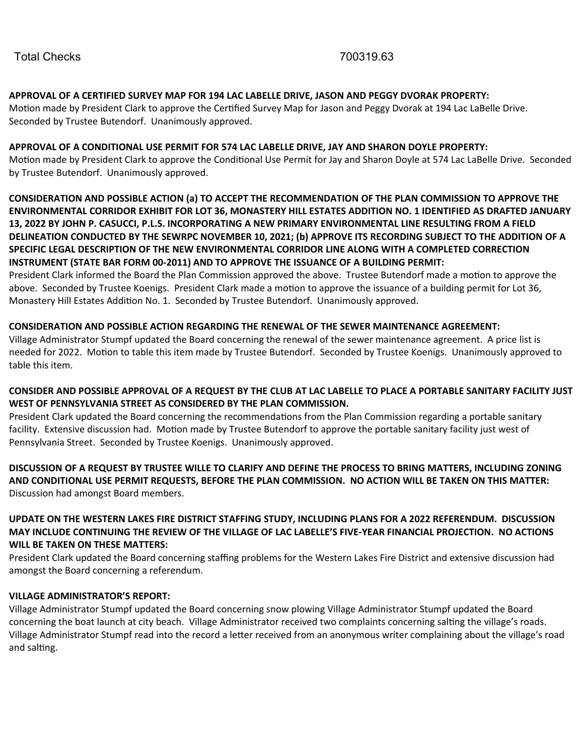## **APPROVAL OF A CERTIFIED SURVEY MAP FOR 194 LAC LABELLE DRIVE, JASON AND PEGGY DVORAK PROPERTY:**

Motion made by President Clark to approve the Certified Survey Map for Jason and Peggy Dvorak at 194 Lac LaBelle Drive. Seconded by Trustee Butendorf. Unanimously approved.

## **APPROVAL OF A CONDITIONAL USE PERMIT FOR 574 LAC LABELLE DRIVE, JAY AND SHARON DOYLE PROPERTY:**

Motion made by President Clark to approve the Conditional Use Permit for Jay and Sharon Doyle at 574 Lac LaBelle Drive. Seconded by Trustee Butendorf. Unanimously approved.

**CONSIDERATION AND POSSIBLE ACTION (a) TO ACCEPT THE RECOMMENDATION OF THE PLAN COMMISSION TO APPROVE THE ENVIRONMENTAL CORRIDOR EXHIBIT FOR LOT 36, MONASTERY HILL ESTATES ADDITION NO. 1 IDENTIFIED AS DRAFTED JANUARY 13, 2022 BY JOHN P. CASUCCI, P.L.S. INCORPORATING A NEW PRIMARY ENVIRONMENTAL LINE RESULTING FROM A FIELD DELINEATION CONDUCTED BY THE SEWRPC NOVEMBER 10, 2021; (b) APPROVE ITS RECORDING SUBJECT TO THE ADDITION OF A SPECIFIC LEGAL DESCRIPTION OF THE NEW ENVIRONMENTAL CORRIDOR LINE ALONG WITH A COMPLETED CORRECTION INSTRUMENT (STATE BAR FORM 00-2011) AND TO APPROVE THE ISSUANCE OF A BUILDING PERMIT:**

President Clark informed the Board the Plan Commission approved the above. Trustee Butendorf made a motion to approve the above. Seconded by Trustee Koenigs. President Clark made a motion to approve the issuance of a building permit for Lot 36, Monastery Hill Estates Addition No. 1. Seconded by Trustee Butendorf. Unanimously approved.

## **CONSIDERATION AND POSSIBLE ACTION REGARDING THE RENEWAL OF THE SEWER MAINTENANCE AGREEMENT:**

Village Administrator Stumpf updated the Board concerning the renewal of the sewer maintenance agreement. A price list is needed for 2022. Motion to table this item made by Trustee Butendorf. Seconded by Trustee Koenigs. Unanimously approved to table this item.

## **CONSIDER AND POSSIBLE APPROVAL OF A REQUEST BY THE CLUB AT LAC LABELLE TO PLACE A PORTABLE SANITARY FACILITY JUST WEST OF PENNSYLVANIA STREET AS CONSIDERED BY THE PLAN COMMISSION.**

President Clark updated the Board concerning the recommendations from the Plan Commission regarding a portable sanitary facility. Extensive discussion had. Motion made by Trustee Butendorf to approve the portable sanitary facility just west of Pennsylvania Street. Seconded by Trustee Koenigs. Unanimously approved.

**DISCUSSION OF A REQUEST BY TRUSTEE WILLE TO CLARIFY AND DEFINE THE PROCESS TO BRING MATTERS, INCLUDING ZONING AND CONDITIONAL USE PERMIT REQUESTS, BEFORE THE PLAN COMMISSION. NO ACTION WILL BE TAKEN ON THIS MATTER:** Discussion had amongst Board members.

## **UPDATE ON THE WESTERN LAKES FIRE DISTRICT STAFFING STUDY, INCLUDING PLANS FOR A 2022 REFERENDUM. DISCUSSION MAY INCLUDE CONTINUING THE REVIEW OF THE VILLAGE OF LAC LABELLE'S FIVE-YEAR FINANCIAL PROJECTION. NO ACTIONS WILL BE TAKEN ON THESE MATTERS:**

President Clark updated the Board concerning staffing problems for the Western Lakes Fire District and extensive discussion had amongst the Board concerning a referendum.

### **VILLAGE ADMINISTRATOR'S REPORT:**

Village Administrator Stumpf updated the Board concerning snow plowing Village Administrator Stumpf updated the Board concerning the boat launch at city beach. Village Administrator received two complaints concerning salting the village's roads. Village Administrator Stumpf read into the record a letter received from an anonymous writer complaining about the village's road and salting.